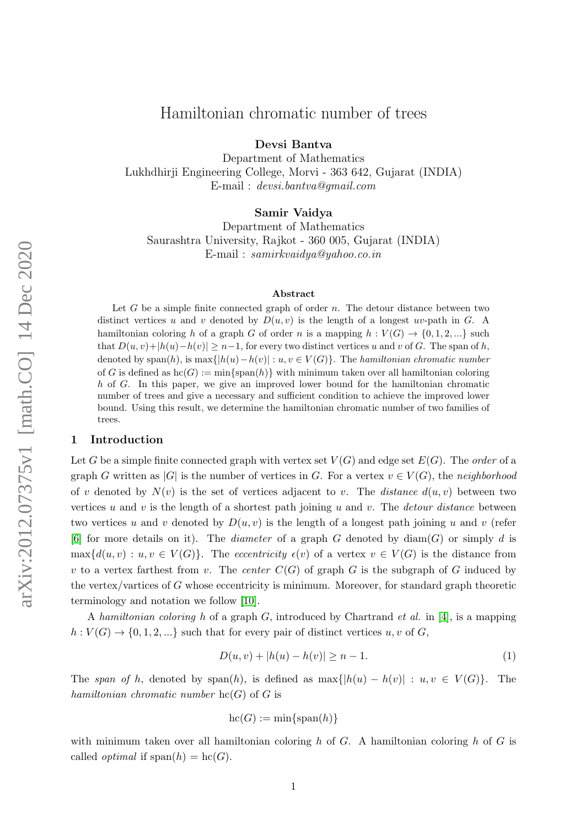# Hamiltonian chromatic number of trees

Devsi Bantva

Department of Mathematics Lukhdhirji Engineering College, Morvi - 363 642, Gujarat (INDIA) E-mail : devsi.bantva@gmail.com

Samir Vaidya

Department of Mathematics Saurashtra University, Rajkot - 360 005, Gujarat (INDIA) E-mail : samirkvaidya@yahoo.co.in

#### Abstract

Let G be a simple finite connected graph of order  $n$ . The detour distance between two distinct vertices u and v denoted by  $D(u, v)$  is the length of a longest uv-path in G. A hamiltonian coloring h of a graph G of order n is a mapping  $h: V(G) \to \{0, 1, 2, ...\}$  such that  $D(u, v)+|h(u)-h(v)| \geq n-1$ , for every two distinct vertices u and v of G. The span of h, denoted by span(h), is max $\{|h(u)-h(v)| : u, v \in V(G)\}\$ . The hamiltonian chromatic number of G is defined as  $\text{hc}(G) := \min\{\text{span}(h)\}\$  with minimum taken over all hamiltonian coloring h of G. In this paper, we give an improved lower bound for the hamiltonian chromatic number of trees and give a necessary and sufficient condition to achieve the improved lower bound. Using this result, we determine the hamiltonian chromatic number of two families of trees.

#### 1 Introduction

Let G be a simple finite connected graph with vertex set  $V(G)$  and edge set  $E(G)$ . The order of a graph G written as |G| is the number of vertices in G. For a vertex  $v \in V(G)$ , the neighborhood of v denoted by  $N(v)$  is the set of vertices adjacent to v. The *distance*  $d(u, v)$  between two vertices  $u$  and  $v$  is the length of a shortest path joining  $u$  and  $v$ . The *detour distance* between two vertices u and v denoted by  $D(u, v)$  is the length of a longest path joining u and v (refer [\[6\]](#page-10-0) for more details on it). The *diameter* of a graph G denoted by  $\text{diam}(G)$  or simply d is  $\max\{d(u, v): u, v \in V(G)\}.$  The eccentricity  $\epsilon(v)$  of a vertex  $v \in V(G)$  is the distance from v to a vertex farthest from v. The center  $C(G)$  of graph G is the subgraph of G induced by the vertex/vartices of  $G$  whose eccentricity is minimum. Moreover, for standard graph theoretic terminology and notation we follow [\[10\]](#page-10-1).

A hamiltonian coloring h of a graph G, introduced by Chartrand *et al.* in [\[4\]](#page-10-2), is a mapping  $h: V(G) \to \{0, 1, 2, ...\}$  such that for every pair of distinct vertices  $u, v$  of  $G$ ,

<span id="page-0-0"></span>
$$
D(u, v) + |h(u) - h(v)| \ge n - 1.
$$
\n(1)

The span of h, denoted by span(h), is defined as  $\max\{|h(u) - h(v)| : u, v \in V(G)\}\$ . The hamiltonian chromatic number  $hc(G)$  of G is

$$
hc(G) := min\{span(h)\}\
$$

with minimum taken over all hamiltonian coloring h of  $G$ . A hamiltonian coloring h of  $G$  is called *optimal* if  $\text{span}(h) = \text{hc}(G)$ .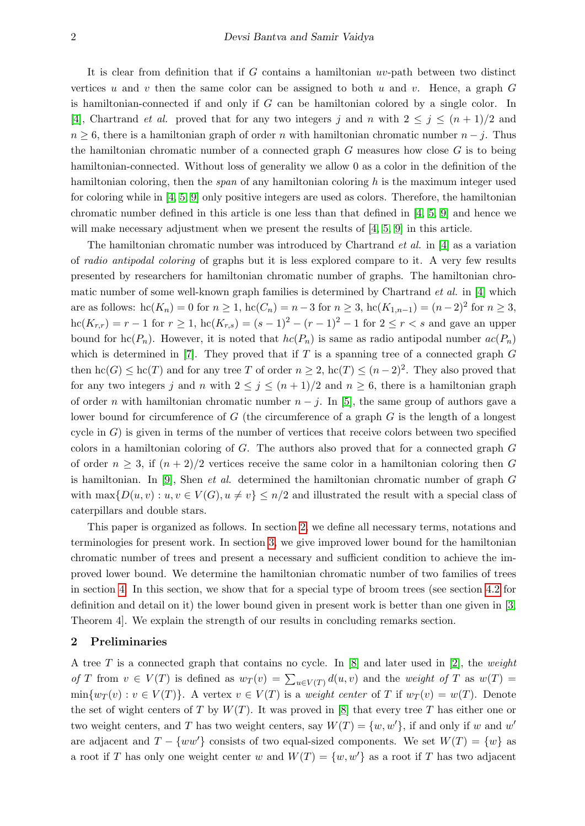It is clear from definition that if  $G$  contains a hamiltonian  $uv$ -path between two distinct vertices u and v then the same color can be assigned to both u and v. Hence, a graph  $G$ is hamiltonian-connected if and only if G can be hamiltonian colored by a single color. In [\[4\]](#page-10-2), Chartrand *et al.* proved that for any two integers j and n with  $2 \leq j \leq (n+1)/2$  and  $n \geq 6$ , there is a hamiltonian graph of order n with hamiltonian chromatic number  $n - j$ . Thus the hamiltonian chromatic number of a connected graph  $G$  measures how close  $G$  is to being hamiltonian-connected. Without loss of generality we allow 0 as a color in the definition of the hamiltonian coloring, then the *span* of any hamiltonian coloring  $h$  is the maximum integer used for coloring while in [\[4,](#page-10-2) [5,](#page-10-3) [9\]](#page-10-4) only positive integers are used as colors. Therefore, the hamiltonian chromatic number defined in this article is one less than that defined in [\[4,](#page-10-2) [5,](#page-10-3) [9\]](#page-10-4) and hence we will make necessary adjustment when we present the results of  $[4, 5, 9]$  $[4, 5, 9]$  $[4, 5, 9]$  in this article.

The hamiltonian chromatic number was introduced by Chartrand *et al.* in [\[4\]](#page-10-2) as a variation of radio antipodal coloring of graphs but it is less explored compare to it. A very few results presented by researchers for hamiltonian chromatic number of graphs. The hamiltonian chromatic number of some well-known graph families is determined by Chartrand  $et$  al. in [\[4\]](#page-10-2) which are as follows:  $\mathrm{hc}(K_n) = 0$  for  $n \ge 1$ ,  $\mathrm{hc}(C_n) = n-3$  for  $n \ge 3$ ,  $\mathrm{hc}(K_{1,n-1}) = (n-2)^2$  for  $n \ge 3$ ,  $\mathrm{hc}(K_{r,r}) = r - 1$  for  $r \geq 1$ ,  $\mathrm{hc}(K_{r,s}) = (s - 1)^2 - (r - 1)^2 - 1$  for  $2 \leq r < s$  and gave an upper bound for  $\text{hc}(P_n)$ . However, it is noted that  $\text{hc}(P_n)$  is same as radio antipodal number  $\text{ac}(P_n)$ which is determined in  $[7]$ . They proved that if T is a spanning tree of a connected graph G then  $\mathrm{hc}(G) \leq \mathrm{hc}(T)$  and for any tree T of order  $n \geq 2$ ,  $\mathrm{hc}(T) \leq (n-2)^2$ . They also proved that for any two integers j and n with  $2 \le j \le (n+1)/2$  and  $n \ge 6$ , there is a hamiltonian graph of order *n* with hamiltonian chromatic number  $n - j$ . In [\[5\]](#page-10-3), the same group of authors gave a lower bound for circumference of  $G$  (the circumference of a graph  $G$  is the length of a longest cycle in  $G$ ) is given in terms of the number of vertices that receive colors between two specified colors in a hamiltonian coloring of G. The authors also proved that for a connected graph G of order  $n \geq 3$ , if  $(n+2)/2$  vertices receive the same color in a hamiltonian coloring then G is hamiltonian. In  $[9]$ , Shen *et al.* determined the hamiltonian chromatic number of graph  $G$ with  $\max\{D(u, v): u, v \in V(G), u \neq v\} \leq n/2$  and illustrated the result with a special class of caterpillars and double stars.

This paper is organized as follows. In section [2,](#page-1-0) we define all necessary terms, notations and terminologies for present work. In section [3,](#page-3-0) we give improved lower bound for the hamiltonian chromatic number of trees and present a necessary and sufficient condition to achieve the improved lower bound. We determine the hamiltonian chromatic number of two families of trees in section [4.](#page-5-0) In this section, we show that for a special type of broom trees (see section [4.2](#page-8-0) for definition and detail on it) the lower bound given in present work is better than one given in [\[3,](#page-10-6) Theorem 4]. We explain the strength of our results in concluding remarks section.

# <span id="page-1-0"></span>2 Preliminaries

A tree T is a connected graph that contains no cycle. In  $[8]$  and later used in [\[2\]](#page-10-8), the weight of T from  $v \in V(T)$  is defined as  $w_T(v) = \sum_{u \in V(T)} d(u, v)$  and the weight of T as  $w(T) =$  $\min\{w_T(v): v \in V(T)\}\.$  A vertex  $v \in V(T)$  is a weight center of T if  $w_T(v) = w(T)$ . Denote the set of wight centers of T by  $W(T)$ . It was proved in [\[8\]](#page-10-7) that every tree T has either one or two weight centers, and T has two weight centers, say  $W(T) = \{w, w'\}$ , if and only if w and w' are adjacent and  $T - \{ww'\}$  consists of two equal-sized components. We set  $W(T) = \{w\}$  as a root if T has only one weight center w and  $W(T) = \{w, w'\}$  as a root if T has two adjacent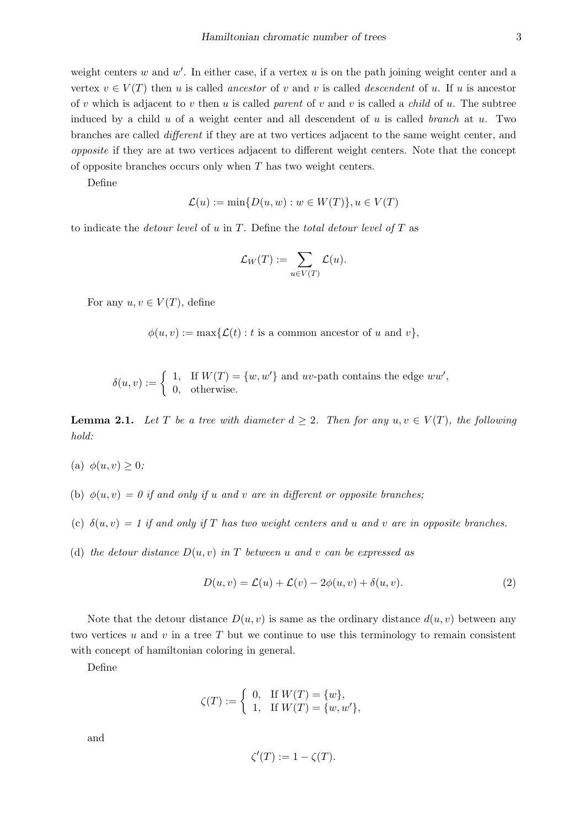weight centers  $w$  and  $w'$ . In either case, if a vertex  $u$  is on the path joining weight center and a vertex  $v \in V(T)$  then u is called ancestor of v and v is called descendent of u. If u is ancestor of v which is adjacent to v then u is called parent of v and v is called a *child* of u. The subtree induced by a child u of a weight center and all descendent of u is called branch at u. Two branches are called different if they are at two vertices adjacent to the same weight center, and opposite if they are at two vertices adjacent to different weight centers. Note that the concept of opposite branches occurs only when  $T$  has two weight centers.

Define

$$
\mathcal{L}(u) := \min\{D(u, w) : w \in W(T)\}, u \in V(T)
$$

to indicate the *detour level* of u in T. Define the *total detour level of* T as

$$
\mathcal{L}_W(T) := \sum_{u \in V(T)} \mathcal{L}(u).
$$

For any  $u, v \in V(T)$ , define

 $\phi(u, v) := \max{\{\mathcal{L}(t) : t \text{ is a common ancestor of } u \text{ and } v\}},$ 

$$
\delta(u, v) := \begin{cases} 1, & \text{If } W(T) = \{w, w'\} \text{ and } uv\text{-path contains the edge } w w', \\ 0, & \text{otherwise.} \end{cases}
$$

**Lemma 2.1.** Let T be a tree with diameter  $d \geq 2$ . Then for any  $u, v \in V(T)$ , the following hold:

- (a)  $\phi(u, v) \geq 0$ ;
- (b)  $\phi(u, v) = 0$  if and only if u and v are in different or opposite branches;
- (c)  $\delta(u, v) = 1$  if and only if T has two weight centers and u and v are in opposite branches.
- (d) the detour distance  $D(u, v)$  in T between u and v can be expressed as

$$
D(u, v) = \mathcal{L}(u) + \mathcal{L}(v) - 2\phi(u, v) + \delta(u, v).
$$
\n(2)

Note that the detour distance  $D(u, v)$  is same as the ordinary distance  $d(u, v)$  between any two vertices u and v in a tree  $T$  but we continue to use this terminology to remain consistent with concept of hamiltonian coloring in general.

Define

$$
\zeta(T) := \begin{cases} 0, & \text{if } W(T) = \{w\}, \\ 1, & \text{if } W(T) = \{w, w'\}, \end{cases}
$$

and

$$
\zeta'(T) := 1 - \zeta(T).
$$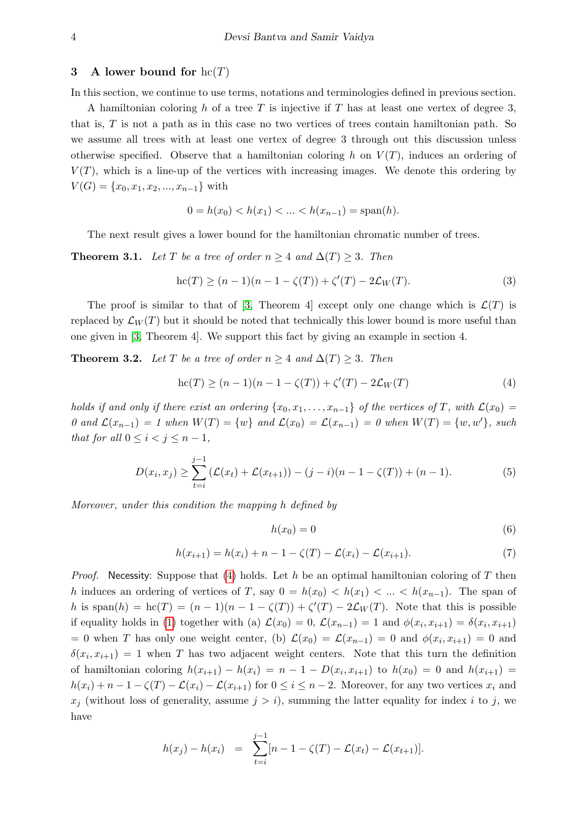#### <span id="page-3-0"></span>3 A lower bound for  $hc(T)$

In this section, we continue to use terms, notations and terminologies defined in previous section.

A hamiltonian coloring h of a tree T is injective if T has at least one vertex of degree 3, that is,  $T$  is not a path as in this case no two vertices of trees contain hamiltonian path. So we assume all trees with at least one vertex of degree 3 through out this discussion unless otherwise specified. Observe that a hamiltonian coloring h on  $V(T)$ , induces an ordering of  $V(T)$ , which is a line-up of the vertices with increasing images. We denote this ordering by  $V(G) = \{x_0, x_1, x_2, ..., x_{n-1}\}\$  with

$$
0 = h(x_0) < h(x_1) < \ldots < h(x_{n-1}) = \text{span}(h).
$$

The next result gives a lower bound for the hamiltonian chromatic number of trees.

<span id="page-3-7"></span>**Theorem 3.1.** Let T be a tree of order  $n \geq 4$  and  $\Delta(T) \geq 3$ . Then

<span id="page-3-5"></span>
$$
hc(T) \ge (n-1)(n-1 - \zeta(T)) + \zeta'(T) - 2\mathcal{L}_W(T). \tag{3}
$$

The proof is similar to that of [\[3,](#page-10-6) Theorem 4] except only one change which is  $\mathcal{L}(T)$  is replaced by  $\mathcal{L}_W(T)$  but it should be noted that technically this lower bound is more useful than one given in [\[3,](#page-10-6) Theorem 4]. We support this fact by giving an example in section 4.

<span id="page-3-6"></span>**Theorem 3.2.** Let T be a tree of order  $n \geq 4$  and  $\Delta(T) \geq 3$ . Then

<span id="page-3-1"></span>
$$
hc(T) \ge (n-1)(n-1 - \zeta(T)) + \zeta'(T) - 2\mathcal{L}_W(T)
$$
\n(4)

holds if and only if there exist an ordering  $\{x_0, x_1, \ldots, x_{n-1}\}$  of the vertices of T, with  $\mathcal{L}(x_0)$  = 0 and  $\mathcal{L}(x_{n-1}) = 1$  when  $W(T) = \{w\}$  and  $\mathcal{L}(x_0) = \mathcal{L}(x_{n-1}) = 0$  when  $W(T) = \{w, w'\}$ , such that for all  $0 \leq i < j \leq n-1$ ,

<span id="page-3-2"></span>
$$
D(x_i, x_j) \ge \sum_{t=i}^{j-1} \left( \mathcal{L}(x_t) + \mathcal{L}(x_{t+1}) \right) - (j-i)(n-1-\zeta(T)) + (n-1). \tag{5}
$$

Moreover, under this condition the mapping h defined by

<span id="page-3-3"></span>
$$
h(x_0) = 0 \tag{6}
$$

<span id="page-3-4"></span>
$$
h(x_{i+1}) = h(x_i) + n - 1 - \zeta(T) - \mathcal{L}(x_i) - \mathcal{L}(x_{i+1}).
$$
\n(7)

*Proof.* Necessity: Suppose that [\(4\)](#page-3-1) holds. Let h be an optimal hamiltonian coloring of T then h induces an ordering of vertices of T, say  $0 = h(x_0) < h(x_1) < \ldots < h(x_{n-1})$ . The span of h is span(h) = hc(T) =  $(n-1)(n-1-\zeta(T)) + \zeta'(T) - 2\mathcal{L}_W(T)$ . Note that this is possible if equality holds in [\(1\)](#page-0-0) together with (a)  $\mathcal{L}(x_0) = 0$ ,  $\mathcal{L}(x_{n-1}) = 1$  and  $\phi(x_i, x_{i+1}) = \delta(x_i, x_{i+1})$ = 0 when T has only one weight center, (b)  $\mathcal{L}(x_0) = \mathcal{L}(x_{n-1}) = 0$  and  $\phi(x_i, x_{i+1}) = 0$  and  $\delta(x_i, x_{i+1}) = 1$  when T has two adjacent weight centers. Note that this turn the definition of hamiltonian coloring  $h(x_{i+1}) - h(x_i) = n - 1 - D(x_i, x_{i+1})$  to  $h(x_0) = 0$  and  $h(x_{i+1}) =$  $h(x_i) + n - 1 - \zeta(T) - \mathcal{L}(x_i) - \mathcal{L}(x_{i+1})$  for  $0 \le i \le n-2$ . Moreover, for any two vertices  $x_i$  and  $x_j$  (without loss of generality, assume  $j > i$ ), summing the latter equality for index i to j, we have

$$
h(x_j) - h(x_i) = \sum_{t=i}^{j-1} [n-1 - \zeta(T) - \mathcal{L}(x_t) - \mathcal{L}(x_{t+1})].
$$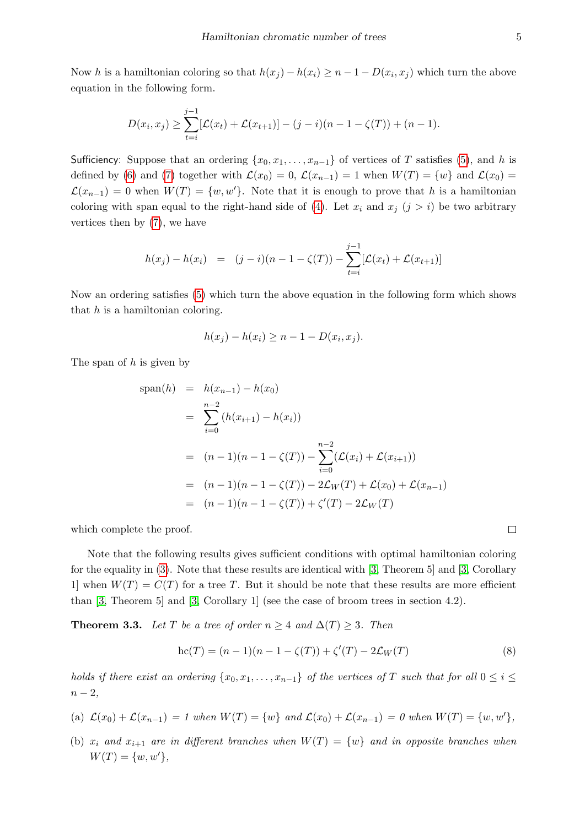Now h is a hamiltonian coloring so that  $h(x_j) - h(x_i) \geq n - 1 - D(x_i, x_j)$  which turn the above equation in the following form.

$$
D(x_i, x_j) \geq \sum_{t=i}^{j-1} [\mathcal{L}(x_t) + \mathcal{L}(x_{t+1})] - (j-i)(n-1-\zeta(T)) + (n-1).
$$

Sufficiency: Suppose that an ordering  $\{x_0, x_1, \ldots, x_{n-1}\}$  of vertices of T satisfies [\(5\)](#page-3-2), and h is defined by [\(6\)](#page-3-3) and [\(7\)](#page-3-4) together with  $\mathcal{L}(x_0) = 0$ ,  $\mathcal{L}(x_{n-1}) = 1$  when  $W(T) = \{w\}$  and  $\mathcal{L}(x_0) =$  $\mathcal{L}(x_{n-1}) = 0$  when  $W(T) = \{w, w'\}.$  Note that it is enough to prove that h is a hamiltonian coloring with span equal to the right-hand side of [\(4\)](#page-3-1). Let  $x_i$  and  $x_j$  ( $j > i$ ) be two arbitrary vertices then by [\(7\)](#page-3-4), we have

$$
h(x_j) - h(x_i) = (j - i)(n - 1 - \zeta(T)) - \sum_{t=i}^{j-1} [\mathcal{L}(x_t) + \mathcal{L}(x_{t+1})]
$$

Now an ordering satisfies [\(5\)](#page-3-2) which turn the above equation in the following form which shows that  $h$  is a hamiltonian coloring.

$$
h(x_j) - h(x_i) \ge n - 1 - D(x_i, x_j).
$$

The span of  $h$  is given by

$$
\text{span}(h) = h(x_{n-1}) - h(x_0)
$$
\n
$$
= \sum_{i=0}^{n-2} (h(x_{i+1}) - h(x_i))
$$
\n
$$
= (n-1)(n-1-\zeta(T)) - \sum_{i=0}^{n-2} (\mathcal{L}(x_i) + \mathcal{L}(x_{i+1}))
$$
\n
$$
= (n-1)(n-1-\zeta(T)) - 2\mathcal{L}_W(T) + \mathcal{L}(x_0) + \mathcal{L}(x_{n-1})
$$
\n
$$
= (n-1)(n-1-\zeta(T)) + \zeta'(T) - 2\mathcal{L}_W(T)
$$

which complete the proof.

Note that the following results gives sufficient conditions with optimal hamiltonian coloring for the equality in [\(3\)](#page-3-5). Note that these results are identical with [\[3,](#page-10-6) Theorem 5] and [\[3,](#page-10-6) Corollary 1 when  $W(T) = C(T)$  for a tree T. But it should be note that these results are more efficient than [\[3,](#page-10-6) Theorem 5] and [\[3,](#page-10-6) Corollary 1] (see the case of broom trees in section 4.2).

**Theorem 3.3.** Let T be a tree of order  $n \geq 4$  and  $\Delta(T) \geq 3$ . Then

$$
hc(T) = (n - 1)(n - 1 - \zeta(T)) + \zeta'(T) - 2\mathcal{L}_W(T)
$$
\n(8)

holds if there exist an ordering  $\{x_0, x_1, \ldots, x_{n-1}\}$  of the vertices of T such that for all  $0 \leq i \leq$  $n-2,$ 

(a) 
$$
\mathcal{L}(x_0) + \mathcal{L}(x_{n-1}) = 1
$$
 when  $W(T) = \{w\}$  and  $\mathcal{L}(x_0) + \mathcal{L}(x_{n-1}) = 0$  when  $W(T) = \{w, w'\},$ 

(b)  $x_i$  and  $x_{i+1}$  are in different branches when  $W(T) = \{w\}$  and in opposite branches when  $W(T) = \{w, w'\},\,$ 

 $\Box$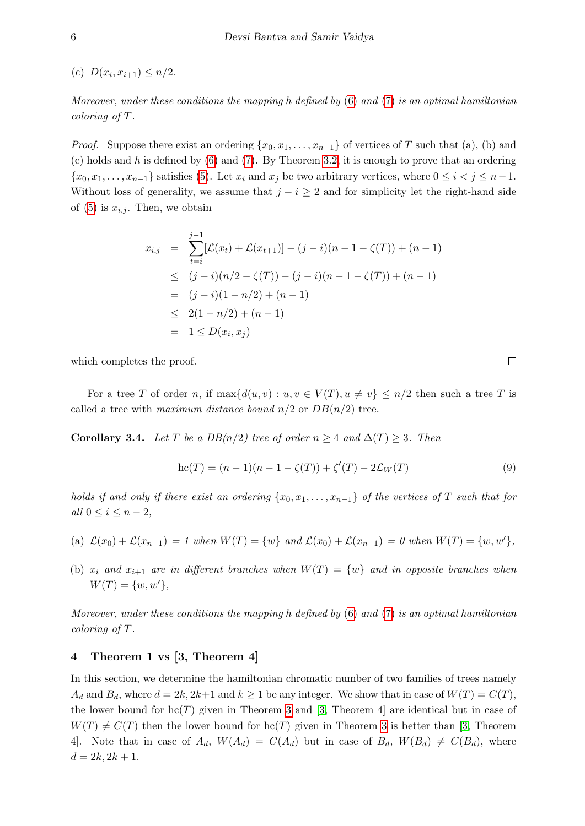(c)  $D(x_i, x_{i+1}) \leq n/2$ .

Moreover, under these conditions the mapping h defined by  $(6)$  and  $(7)$  is an optimal hamiltonian coloring of T.

*Proof.* Suppose there exist an ordering  $\{x_0, x_1, \ldots, x_{n-1}\}$  of vertices of T such that (a), (b) and (c) holds and h is defined by  $(6)$  and  $(7)$ . By Theorem [3.2,](#page-3-6) it is enough to prove that an ordering  $\{x_0, x_1, \ldots, x_{n-1}\}\$  satisfies [\(5\)](#page-3-2). Let  $x_i$  and  $x_j$  be two arbitrary vertices, where  $0 \le i < j \le n-1$ . Without loss of generality, we assume that  $j - i \geq 2$  and for simplicity let the right-hand side of [\(5\)](#page-3-2) is  $x_{i,j}$ . Then, we obtain

$$
x_{i,j} = \sum_{t=i}^{j-1} [\mathcal{L}(x_t) + \mathcal{L}(x_{t+1})] - (j-i)(n-1-\zeta(T)) + (n-1)
$$
  
\n
$$
\leq (j-i)(n/2 - \zeta(T)) - (j-i)(n-1-\zeta(T)) + (n-1)
$$
  
\n
$$
= (j-i)(1-n/2) + (n-1)
$$
  
\n
$$
\leq 2(1-n/2) + (n-1)
$$
  
\n
$$
= 1 \leq D(x_i, x_j)
$$

which completes the proof.

For a tree T of order n, if  $\max\{d(u, v): u, v \in V(T), u \neq v\} \leq n/2$  then such a tree T is called a tree with maximum distance bound  $n/2$  or  $DB(n/2)$  tree.

<span id="page-5-1"></span>Corollary 3.4. Let T be a  $DB(n/2)$  tree of order  $n \geq 4$  and  $\Delta(T) \geq 3$ . Then

$$
hc(T) = (n - 1)(n - 1 - \zeta(T)) + \zeta'(T) - 2\mathcal{L}_W(T)
$$
\n(9)

holds if and only if there exist an ordering  $\{x_0, x_1, \ldots, x_{n-1}\}$  of the vertices of T such that for all  $0 \leq i \leq n-2$ ,

- (a)  $\mathcal{L}(x_0) + \mathcal{L}(x_{n-1}) = 1$  when  $W(T) = \{w\}$  and  $\mathcal{L}(x_0) + \mathcal{L}(x_{n-1}) = 0$  when  $W(T) = \{w, w'\},$
- (b)  $x_i$  and  $x_{i+1}$  are in different branches when  $W(T) = \{w\}$  and in opposite branches when  $W(T) = \{w, w'\},\$

Moreover, under these conditions the mapping h defined by  $(6)$  and  $(7)$  is an optimal hamiltonian coloring of T.

# <span id="page-5-0"></span>4 Theorem 1 vs [3, Theorem 4]

In this section, we determine the hamiltonian chromatic number of two families of trees namely  $A_d$  and  $B_d$ , where  $d = 2k, 2k+1$  and  $k \ge 1$  be any integer. We show that in case of  $W(T) = C(T)$ , the lower bound for  $\text{hc}(T)$  given in Theorem [3](#page-3-5) and [\[3,](#page-10-6) Theorem 4] are identical but in case of  $W(T) \neq C(T)$  then the lower bound for hc(T) given in Theorem [3](#page-3-5) is better than [\[3,](#page-10-6) Theorem 4. Note that in case of  $A_d$ ,  $W(A_d) = C(A_d)$  but in case of  $B_d$ ,  $W(B_d) \neq C(B_d)$ , where  $d = 2k, 2k + 1.$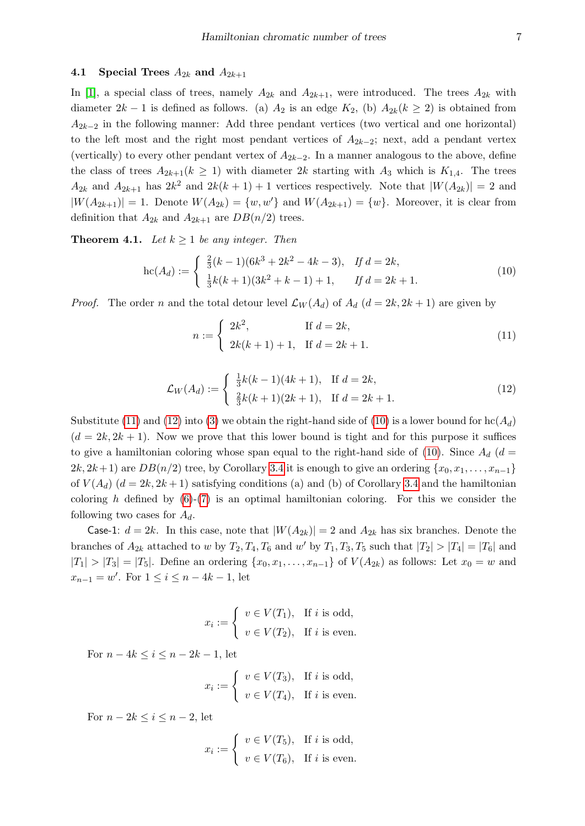## 4.1 Special Trees  $A_{2k}$  and  $A_{2k+1}$

In [\[1\]](#page-10-9), a special class of trees, namely  $A_{2k}$  and  $A_{2k+1}$ , were introduced. The trees  $A_{2k}$  with diameter  $2k-1$  is defined as follows. (a)  $A_2$  is an edge  $K_2$ , (b)  $A_{2k}(k \geq 2)$  is obtained from  $A_{2k-2}$  in the following manner: Add three pendant vertices (two vertical and one horizontal) to the left most and the right most pendant vertices of  $A_{2k-2}$ ; next, add a pendant vertex (vertically) to every other pendant vertex of  $A_{2k-2}$ . In a manner analogous to the above, define the class of trees  $A_{2k+1}(k \geq 1)$  with diameter  $2k$  starting with  $A_3$  which is  $K_{1,4}$ . The trees  $A_{2k}$  and  $A_{2k+1}$  has  $2k^2$  and  $2k(k+1)+1$  vertices respectively. Note that  $|W(A_{2k})|=2$  and  $|W(A_{2k+1})| = 1$ . Denote  $W(A_{2k}) = \{w, w'\}$  and  $W(A_{2k+1}) = \{w\}$ . Moreover, it is clear from definition that  $A_{2k}$  and  $A_{2k+1}$  are  $DB(n/2)$  trees.

**Theorem 4.1.** Let  $k \geq 1$  be any integer. Then

<span id="page-6-2"></span>
$$
\operatorname{hc}(A_d) := \begin{cases} \frac{2}{3}(k-1)(6k^3 + 2k^2 - 4k - 3), & \text{If } d = 2k, \\ \frac{1}{3}k(k+1)(3k^2 + k - 1) + 1, & \text{If } d = 2k + 1. \end{cases} \tag{10}
$$

*Proof.* The order n and the total detour level  $\mathcal{L}_W(A_d)$  of  $A_d$  ( $d = 2k, 2k + 1$ ) are given by

<span id="page-6-0"></span>
$$
n := \begin{cases} 2k^2, & \text{If } d = 2k, \\ 2k(k+1) + 1, & \text{If } d = 2k + 1. \end{cases}
$$
 (11)

<span id="page-6-1"></span>
$$
\mathcal{L}_W(A_d) := \begin{cases} \frac{1}{3}k(k-1)(4k+1), & \text{If } d = 2k, \\ \frac{2}{3}k(k+1)(2k+1), & \text{If } d = 2k+1. \end{cases}
$$
(12)

Substitute [\(11\)](#page-6-0) and [\(12\)](#page-6-1) into [\(3\)](#page-3-5) we obtain the right-hand side of [\(10\)](#page-6-2) is a lower bound for  $\text{hc}(A_d)$  $(d = 2k, 2k + 1)$ . Now we prove that this lower bound is tight and for this purpose it suffices to give a hamiltonian coloring whose span equal to the right-hand side of [\(10\)](#page-6-2). Since  $A_d$  (d =  $2k, 2k+1$ ) are  $DB(n/2)$  tree, by Corollary [3.4](#page-5-1) it is enough to give an ordering  $\{x_0, x_1, \ldots, x_{n-1}\}$ of  $V(A_d)$   $(d = 2k, 2k+1)$  satisfying conditions (a) and (b) of Corollary [3.4](#page-5-1) and the hamiltonian coloring h defined by  $(6)-(7)$  $(6)-(7)$  $(6)-(7)$  is an optimal hamiltonian coloring. For this we consider the following two cases for  $A_d$ .

Case-1:  $d = 2k$ . In this case, note that  $|W(A_{2k})| = 2$  and  $A_{2k}$  has six branches. Denote the branches of  $A_{2k}$  attached to w by  $T_2, T_4, T_6$  and w' by  $T_1, T_3, T_5$  such that  $|T_2| > |T_4| = |T_6|$  and  $|T_1| > |T_3| = |T_5|$ . Define an ordering  $\{x_0, x_1, \ldots, x_{n-1}\}$  of  $V(A_{2k})$  as follows: Let  $x_0 = w$  and  $x_{n-1} = w'$ . For  $1 \leq i \leq n-4k-1$ , let

$$
x_i := \begin{cases} v \in V(T_1), & \text{If } i \text{ is odd,} \\ v \in V(T_2), & \text{If } i \text{ is even.} \end{cases}
$$

For  $n-4k \leq i \leq n-2k-1$ , let

$$
x_i := \begin{cases} v \in V(T_3), & \text{If } i \text{ is odd,} \\ v \in V(T_4), & \text{If } i \text{ is even.} \end{cases}
$$

For  $n-2k \leq i \leq n-2$ , let

$$
x_i := \begin{cases} v \in V(T_5), & \text{If } i \text{ is odd,} \\ v \in V(T_6), & \text{If } i \text{ is even.} \end{cases}
$$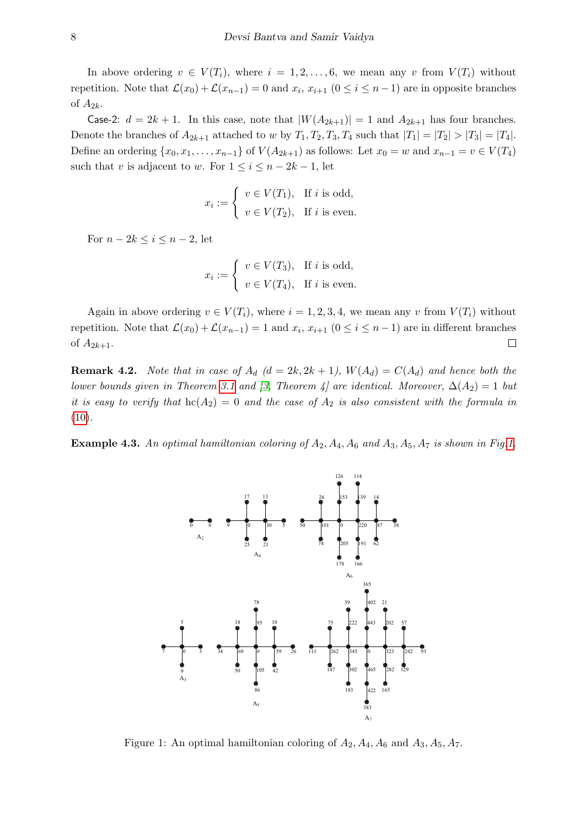In above ordering  $v \in V(T_i)$ , where  $i = 1, 2, \ldots, 6$ , we mean any v from  $V(T_i)$  without repetition. Note that  $\mathcal{L}(x_0) + \mathcal{L}(x_{n-1}) = 0$  and  $x_i, x_{i+1}$   $(0 \le i \le n-1)$  are in opposite branches of  $A_{2k}$ .

Case-2:  $d = 2k + 1$ . In this case, note that  $|W(A_{2k+1})| = 1$  and  $A_{2k+1}$  has four branches. Denote the branches of  $A_{2k+1}$  attached to w by  $T_1, T_2, T_3, T_4$  such that  $|T_1| = |T_2| > |T_3| = |T_4|$ . Define an ordering  $\{x_0, x_1, \ldots, x_{n-1}\}$  of  $V(A_{2k+1})$  as follows: Let  $x_0 = w$  and  $x_{n-1} = v \in V(T_4)$ such that v is adjacent to w. For  $1 \leq i \leq n-2k-1$ , let

$$
x_i := \begin{cases} v \in V(T_1), & \text{If } i \text{ is odd,} \\ v \in V(T_2), & \text{If } i \text{ is even.} \end{cases}
$$

For  $n-2k \leq i \leq n-2$ , let

$$
x_i := \begin{cases} v \in V(T_3), & \text{If } i \text{ is odd,} \\ v \in V(T_4), & \text{If } i \text{ is even.} \end{cases}
$$

Again in above ordering  $v \in V(T_i)$ , where  $i = 1, 2, 3, 4$ , we mean any v from  $V(T_i)$  without repetition. Note that  $\mathcal{L}(x_0) + \mathcal{L}(x_{n-1}) = 1$  and  $x_i, x_{i+1}$   $(0 \le i \le n-1)$  are in different branches of  $A_{2k+1}$ .  $\Box$ 

**Remark 4.2.** Note that in case of  $A_d$  ( $d = 2k, 2k + 1$ ),  $W(A_d) = C(A_d)$  and hence both the lower bounds given in Theorem [3.1](#page-3-7) and [\[3,](#page-10-6) Theorem 4] are identical. Moreover,  $\Delta(A_2) = 1$  but it is easy to verify that  $hc(A_2) = 0$  and the case of  $A_2$  is also consistent with the formula in  $(10).$  $(10).$ 

**Example 4.3.** An optimal hamiltonian coloring of  $A_2$ ,  $A_4$ ,  $A_6$  and  $A_3$ ,  $A_5$ ,  $A_7$  is shown in Fig[.1.](#page-7-0)



<span id="page-7-0"></span>Figure 1: An optimal hamiltonian coloring of  $A_2$ ,  $A_4$ ,  $A_6$  and  $A_3$ ,  $A_5$ ,  $A_7$ .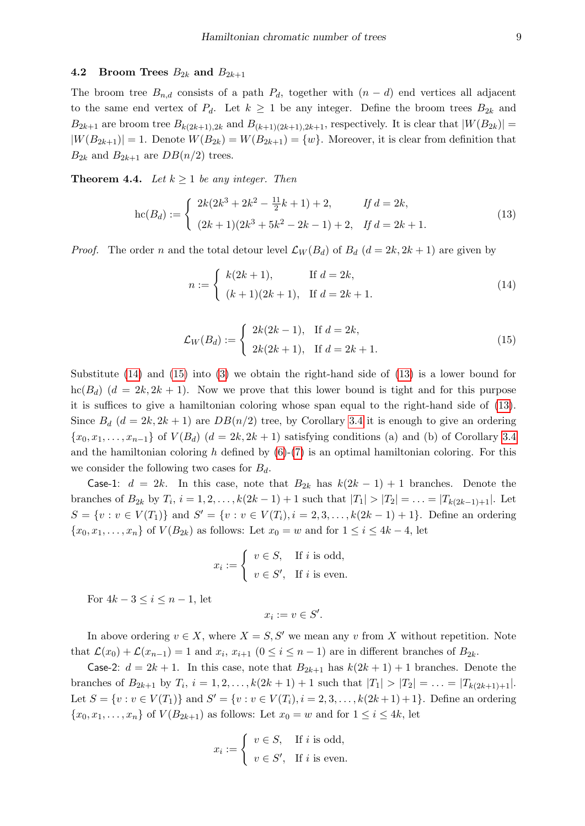## <span id="page-8-0"></span>4.2 Broom Trees  $B_{2k}$  and  $B_{2k+1}$

The broom tree  $B_{n,d}$  consists of a path  $P_d$ , together with  $(n-d)$  end vertices all adjacent to the same end vertex of  $P_d$ . Let  $k \geq 1$  be any integer. Define the broom trees  $B_{2k}$  and  $B_{2k+1}$  are broom tree  $B_{k(2k+1),2k}$  and  $B_{(k+1)(2k+1),2k+1}$ , respectively. It is clear that  $|W(B_{2k})|$  =  $|W(B_{2k+1})| = 1$ . Denote  $W(B_{2k}) = W(B_{2k+1}) = \{w\}$ . Moreover, it is clear from definition that  $B_{2k}$  and  $B_{2k+1}$  are  $DB(n/2)$  trees.

**Theorem 4.4.** Let  $k \geq 1$  be any integer. Then

<span id="page-8-3"></span>
$$
\operatorname{hc}(B_d) := \begin{cases} 2k(2k^3 + 2k^2 - \frac{11}{2}k + 1) + 2, & \text{if } d = 2k, \\ (2k+1)(2k^3 + 5k^2 - 2k - 1) + 2, & \text{if } d = 2k + 1. \end{cases}
$$
(13)

*Proof.* The order n and the total detour level  $\mathcal{L}_W(B_d)$  of  $B_d$   $(d = 2k, 2k + 1)$  are given by

<span id="page-8-1"></span>
$$
n := \begin{cases} k(2k+1), & \text{If } d = 2k, \\ (k+1)(2k+1), & \text{If } d = 2k+1. \end{cases}
$$
 (14)

<span id="page-8-2"></span>
$$
\mathcal{L}_W(B_d) := \begin{cases} 2k(2k-1), & \text{If } d = 2k, \\ 2k(2k+1), & \text{If } d = 2k+1. \end{cases}
$$
 (15)

Substitute  $(14)$  and  $(15)$  into  $(3)$  we obtain the right-hand side of  $(13)$  is a lower bound for  $\text{hc}(B_d)$   $(d = 2k, 2k + 1)$ . Now we prove that this lower bound is tight and for this purpose it is suffices to give a hamiltonian coloring whose span equal to the right-hand side of [\(13\)](#page-8-3). Since  $B_d$   $(d = 2k, 2k + 1)$  are  $DB(n/2)$  tree, by Corollary [3.4](#page-5-1) it is enough to give an ordering  $\{x_0, x_1, \ldots, x_{n-1}\}\$  of  $V(B_d)$   $(d = 2k, 2k + 1)$  satisfying conditions (a) and (b) of Corollary [3.4](#page-5-1) and the hamiltonian coloring h defined by  $(6)-(7)$  $(6)-(7)$  $(6)-(7)$  is an optimal hamiltonian coloring. For this we consider the following two cases for  $B_d$ .

Case-1:  $d = 2k$ . In this case, note that  $B_{2k}$  has  $k(2k - 1) + 1$  branches. Denote the branches of  $B_{2k}$  by  $T_i$ ,  $i = 1, 2, ..., k(2k-1) + 1$  such that  $|T_1| > |T_2| = ... = |T_{k(2k-1)+1}|$ . Let  $S = \{v : v \in V(T_1)\}\$ and  $S' = \{v : v \in V(T_i), i = 2, 3, ..., k(2k-1)+1\}.$  Define an ordering  ${x_0, x_1, \ldots, x_n}$  of  $V(B_{2k})$  as follows: Let  $x_0 = w$  and for  $1 \le i \le 4k - 4$ , let

$$
x_i := \begin{cases} v \in S, & \text{If } i \text{ is odd,} \\ v \in S', & \text{If } i \text{ is even.} \end{cases}
$$

For  $4k-3 \leq i \leq n-1$ , let

$$
x_i := v \in S'.
$$

In above ordering  $v \in X$ , where  $X = S, S'$  we mean any v from X without repetition. Note that  $\mathcal{L}(x_0) + \mathcal{L}(x_{n-1}) = 1$  and  $x_i, x_{i+1}$   $(0 \le i \le n-1)$  are in different branches of  $B_{2k}$ .

**Case-2:**  $d = 2k + 1$ . In this case, note that  $B_{2k+1}$  has  $k(2k+1) + 1$  branches. Denote the branches of  $B_{2k+1}$  by  $T_i$ ,  $i = 1, 2, ..., k(2k+1) + 1$  such that  $|T_1| > |T_2| = ... = |T_{k(2k+1)+1}|$ . Let  $S = \{v : v \in V(T_1)\}\$ and  $S' = \{v : v \in V(T_i), i = 2, 3, ..., k(2k+1)+1\}$ . Define an ordering  ${x_0, x_1, \ldots, x_n}$  of  $V(B_{2k+1})$  as follows: Let  $x_0 = w$  and for  $1 \leq i \leq 4k$ , let

$$
x_i := \begin{cases} v \in S, & \text{If } i \text{ is odd,} \\ v \in S', & \text{If } i \text{ is even.} \end{cases}
$$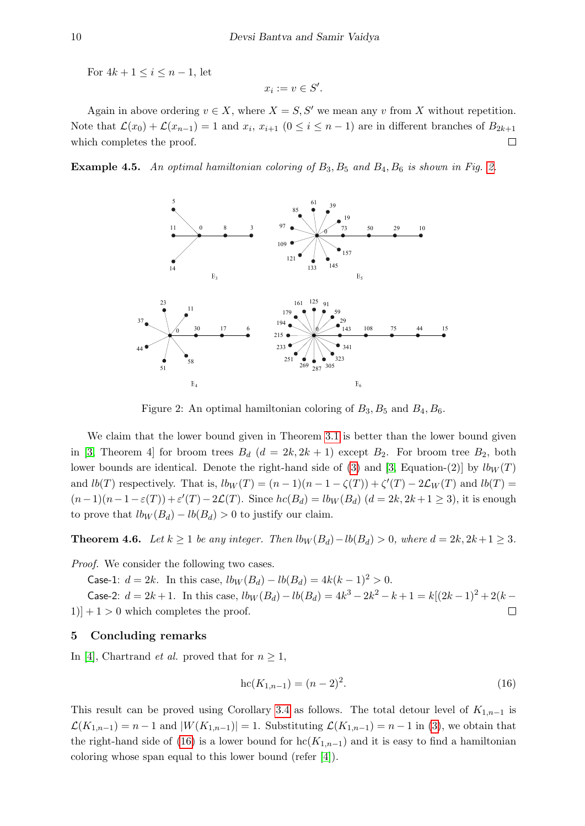For  $4k + 1 \leq i \leq n - 1$ , let

$$
x_i:=v\in S'.
$$

Again in above ordering  $v \in X$ , where  $X = S, S'$  we mean any v from X without repetition. Note that  $\mathcal{L}(x_0) + \mathcal{L}(x_{n-1}) = 1$  and  $x_i, x_{i+1}$   $(0 \le i \le n-1)$  are in different branches of  $B_{2k+1}$ which completes the proof.  $\Box$ 

**Example 4.5.** An optimal hamiltonian coloring of  $B_3$ ,  $B_5$  and  $B_4$ ,  $B_6$  is shown in Fig. [2.](#page-9-0)



<span id="page-9-0"></span>Figure 2: An optimal hamiltonian coloring of  $B_3$ ,  $B_5$  and  $B_4$ ,  $B_6$ .

We claim that the lower bound given in Theorem [3.1](#page-3-7) is better than the lower bound given in [\[3,](#page-10-6) Theorem 4] for broom trees  $B_d$  ( $d = 2k, 2k + 1$ ) except  $B_2$ . For broom tree  $B_2$ , both lower bounds are identical. Denote the right-hand side of [\(3\)](#page-3-5) and [\[3,](#page-10-6) Equation-(2)] by  $l b_W(T)$ and  $lb(T)$  respectively. That is,  $lb_W(T) = (n-1)(n-1-\zeta(T)) + \zeta'(T) - 2\mathcal{L}_W(T)$  and  $lb(T) =$  $(n-1)(n-1-\varepsilon(T))+\varepsilon'(T)-2\mathcal{L}(T)$ . Since  $hc(B_d)=lb_W(B_d)$   $(d=2k, 2k+1\geq 3)$ , it is enough to prove that  $lb_W(B_d) - lb(B_d) > 0$  to justify our claim.

**Theorem 4.6.** Let  $k \ge 1$  be any integer. Then  $l b_W(B_d) - l b(B_d) > 0$ , where  $d = 2k, 2k+1 \ge 3$ .

Proof. We consider the following two cases.

Case-1:  $d = 2k$ . In this case,  $lb_W(B_d) - lb(B_d) = 4k(k-1)^2 > 0$ .

Case-2:  $d = 2k + 1$ . In this case,  $lb_W(B_d) - lb(B_d) = 4k^3 - 2k^2 - k + 1 = k[(2k-1)^2 + 2(k-1)]$  $|1\rangle + |1\rangle = 0$  which completes the proof.  $\Box$ 

# 5 Concluding remarks

In [\[4\]](#page-10-2), Chartrand *et al.* proved that for  $n \geq 1$ ,

<span id="page-9-1"></span>
$$
hc(K_{1,n-1}) = (n-2)^2.
$$
\n(16)

This result can be proved using Corollary [3.4](#page-5-1) as follows. The total detour level of  $K_{1,n-1}$  is  $\mathcal{L}(K_{1,n-1}) = n-1$  and  $|W(K_{1,n-1})| = 1$ . Substituting  $\mathcal{L}(K_{1,n-1}) = n-1$  in [\(3\)](#page-3-5), we obtain that the right-hand side of [\(16\)](#page-9-1) is a lower bound for  $\mathrm{hc}(K_{1,n-1})$  and it is easy to find a hamiltonian coloring whose span equal to this lower bound (refer [\[4\]](#page-10-2)).